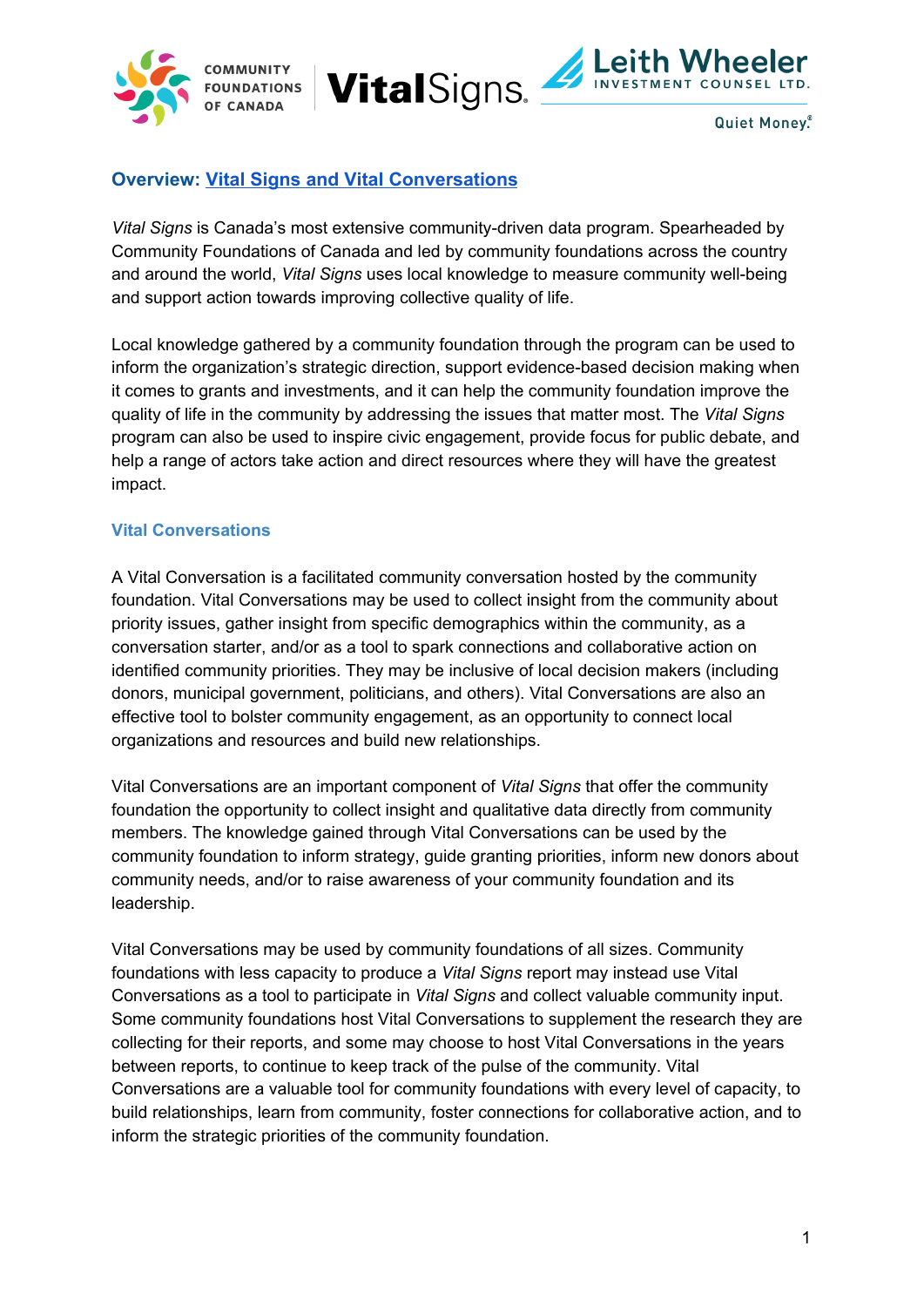





## **Overview: [Vital Signs and Vital Conversations](https://www.communityfoundations.ca/initiatives/vital-signs/)**

*Vital Signs* is Canada's most extensive community-driven data program. Spearheaded by Community Foundations of Canada and led by community foundations across the country and around the world, *Vital Signs* uses local knowledge to measure community well-being and support action towards improving collective quality of life.

Local knowledge gathered by a community foundation through the program can be used to inform the organization's strategic direction, support evidence-based decision making when it comes to grants and investments, and it can help the community foundation improve the quality of life in the community by addressing the issues that matter most. The *Vital Signs* program can also be used to inspire civic engagement, provide focus for public debate, and help a range of actors take action and direct resources where they will have the greatest impact.

#### **Vital Conversations**

A Vital Conversation is a facilitated community conversation hosted by the community foundation. Vital Conversations may be used to collect insight from the community about priority issues, gather insight from specific demographics within the community, as a conversation starter, and/or as a tool to spark connections and collaborative action on identified community priorities. They may be inclusive of local decision makers (including donors, municipal government, politicians, and others). Vital Conversations are also an effective tool to bolster community engagement, as an opportunity to connect local organizations and resources and build new relationships.

Vital Conversations are an important component of *Vital Signs* that offer the community foundation the opportunity to collect insight and qualitative data directly from community members. The knowledge gained through Vital Conversations can be used by the community foundation to inform strategy, guide granting priorities, inform new donors about community needs, and/or to raise awareness of your community foundation and its leadership.

Vital Conversations may be used by community foundations of all sizes. Community foundations with less capacity to produce a *Vital Signs* report may instead use Vital Conversations as a tool to participate in *Vital Signs* and collect valuable community input. Some community foundations host Vital Conversations to supplement the research they are collecting for their reports, and some may choose to host Vital Conversations in the years between reports, to continue to keep track of the pulse of the community. Vital Conversations are a valuable tool for community foundations with every level of capacity, to build relationships, learn from community, foster connections for collaborative action, and to inform the strategic priorities of the community foundation.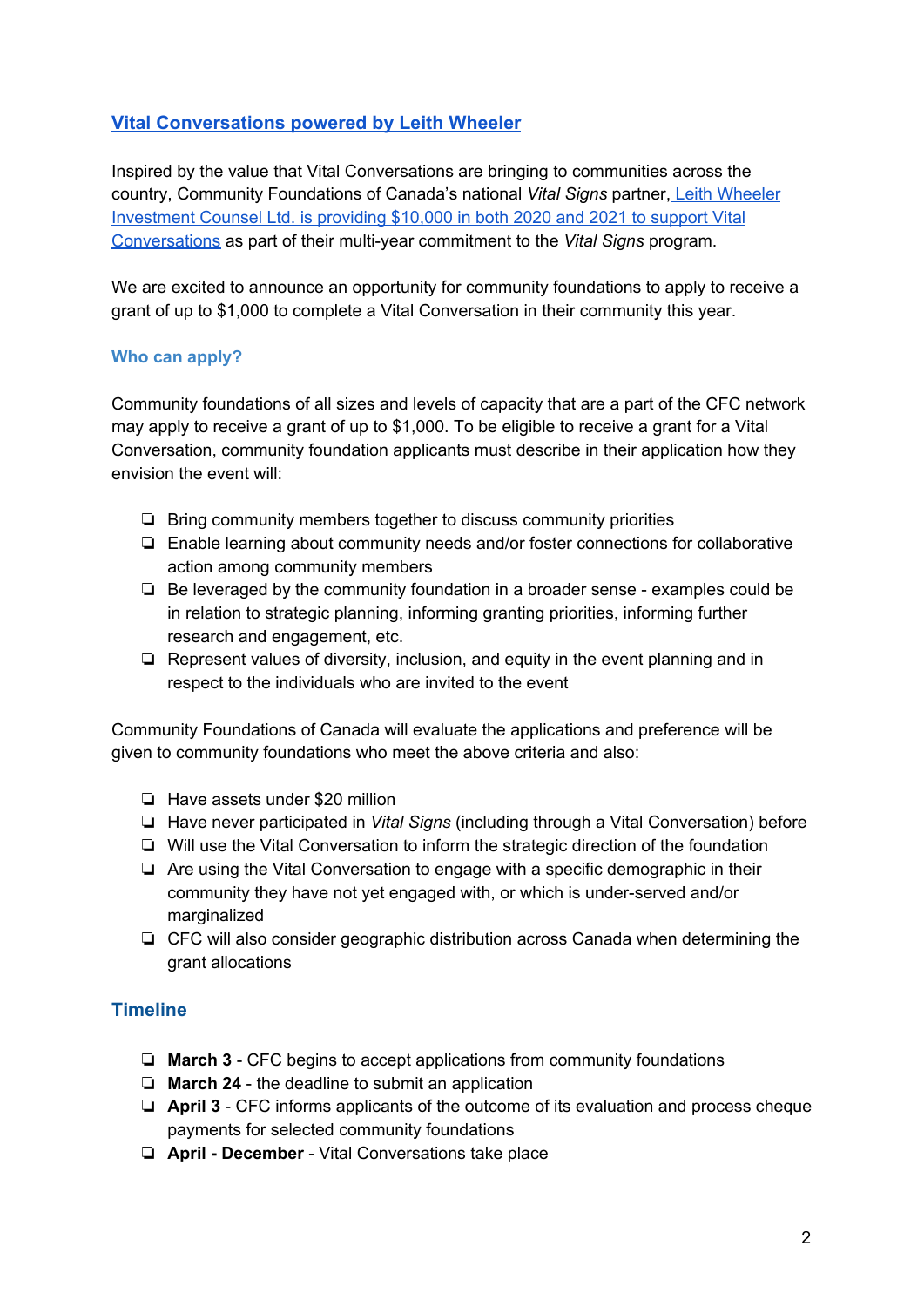## **[Vital Conversations powered by Leith Wheeler](https://www.communityfoundations.ca/vital-conversations-powered-by-leith-wheeler/)**

Inspired by the value that Vital Conversations are bringing to communities across the country, Community Foundations of Canada's national *Vital Signs* partner, Leith [Wheeler](https://www.communityfoundations.ca/vital-conversations-powered-by-leith-wheeler/) [Investment](https://www.communityfoundations.ca/vital-conversations-powered-by-leith-wheeler/) Counsel Ltd. is providing \$10,000 in both 2020 and 2021 to support Vital [Conversations](https://www.communityfoundations.ca/vital-conversations-powered-by-leith-wheeler/) as part of their multi-year commitment to the *Vital Signs* program.

We are excited to announce an opportunity for community foundations to apply to receive a grant of up to \$1,000 to complete a Vital Conversation in their community this year.

#### **Who can apply?**

Community foundations of all sizes and levels of capacity that are a part of the CFC network may apply to receive a grant of up to \$1,000. To be eligible to receive a grant for a Vital Conversation, community foundation applicants must describe in their application how they envision the event will:

- ❏ Bring community members together to discuss community priorities
- ❏ Enable learning about community needs and/or foster connections for collaborative action among community members
- ❏ Be leveraged by the community foundation in a broader sense examples could be in relation to strategic planning, informing granting priorities, informing further research and engagement, etc.
- ❏ Represent values of diversity, inclusion, and equity in the event planning and in respect to the individuals who are invited to the event

Community Foundations of Canada will evaluate the applications and preference will be given to community foundations who meet the above criteria and also:

- ❏ Have assets under \$20 million
- ❏ Have never participated in *Vital Signs* (including through a Vital Conversation) before
- ❏ Will use the Vital Conversation to inform the strategic direction of the foundation
- ❏ Are using the Vital Conversation to engage with a specific demographic in their community they have not yet engaged with, or which is under-served and/or marginalized
- ❏ CFC will also consider geographic distribution across Canada when determining the grant allocations

## **Timeline**

- ❏ **March 3** CFC begins to accept applications from community foundations
- ❏ **March 24** the deadline to submit an application
- ❏ **April 3** CFC informs applicants of the outcome of its evaluation and process cheque payments for selected community foundations
- ❏ **April - December** Vital Conversations take place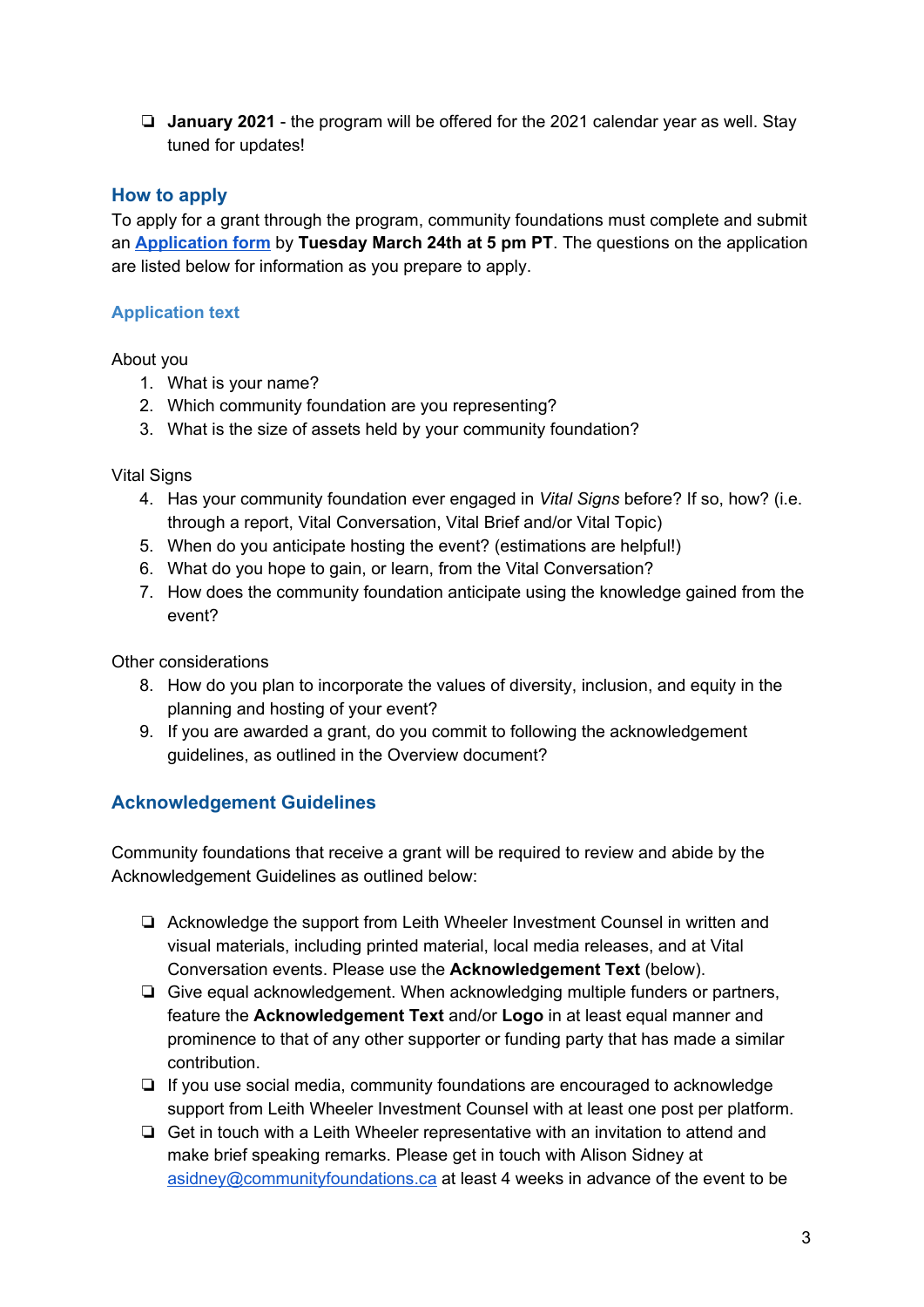❏ **January 2021** - the program will be offered for the 2021 calendar year as well. Stay tuned for updates!

## **How to apply**

To apply for a grant through the program, community foundations must complete and submit an **[Application](https://forms.gle/Yo3mEZMwu6kLuh8d9) form** by **Tuesday March 24th at 5 pm PT**. The questions on the application are listed below for information as you prepare to apply.

#### **Application text**

About you

- 1. What is your name?
- 2. Which community foundation are you representing?
- 3. What is the size of assets held by your community foundation?

**Vital Signs** 

- 4. Has your community foundation ever engaged in *Vital Signs* before? If so, how? (i.e. through a report, Vital Conversation, Vital Brief and/or Vital Topic)
- 5. When do you anticipate hosting the event? (estimations are helpful!)
- 6. What do you hope to gain, or learn, from the Vital Conversation?
- 7. How does the community foundation anticipate using the knowledge gained from the event?

Other considerations

- 8. How do you plan to incorporate the values of diversity, inclusion, and equity in the planning and hosting of your event?
- 9. If you are awarded a grant, do you commit to following the acknowledgement guidelines, as outlined in the Overview document?

## **Acknowledgement Guidelines**

Community foundations that receive a grant will be required to review and abide by the Acknowledgement Guidelines as outlined below:

- ❏ Acknowledge the support from Leith Wheeler Investment Counsel in written and visual materials, including printed material, local media releases, and at Vital Conversation events. Please use the **Acknowledgement Text** (below).
- ❏ Give equal acknowledgement. When acknowledging multiple funders or partners, feature the **Acknowledgement Text** and/or **Logo** in at least equal manner and prominence to that of any other supporter or funding party that has made a similar contribution.
- ❏ If you use social media, community foundations are encouraged to acknowledge support from Leith Wheeler Investment Counsel with at least one post per platform.
- ❏ Get in touch with a Leith Wheeler representative with an invitation to attend and make brief speaking remarks. Please get in touch with Alison Sidney at [asidney@communityfoundations.ca](mailto:asidney@communityfoundations.ca) at least 4 weeks in advance of the event to be